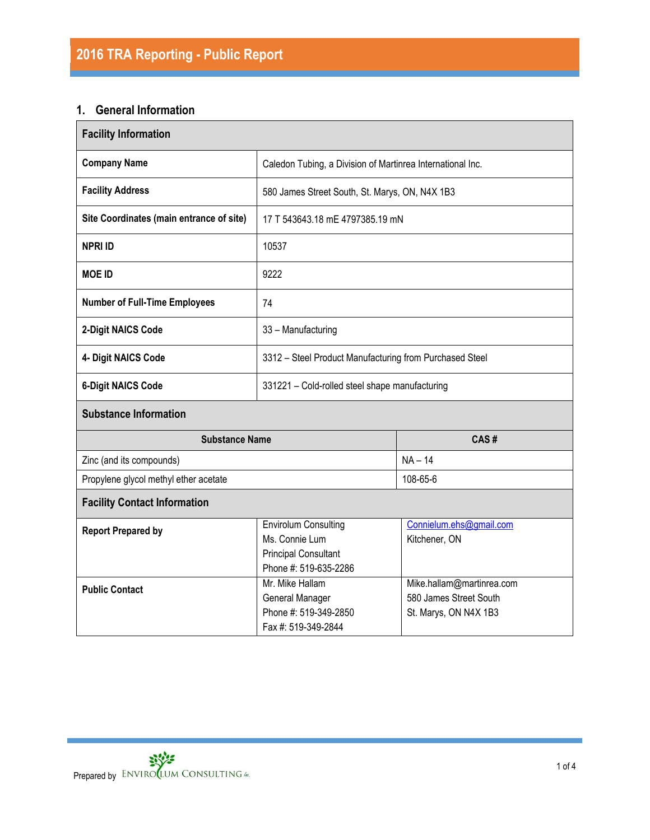# **1. General Information**

| <b>Facility Information</b>              |                                                                                                       |                                                                              |  |  |  |
|------------------------------------------|-------------------------------------------------------------------------------------------------------|------------------------------------------------------------------------------|--|--|--|
| <b>Company Name</b>                      | Caledon Tubing, a Division of Martinrea International Inc.                                            |                                                                              |  |  |  |
| <b>Facility Address</b>                  | 580 James Street South, St. Marys, ON, N4X 1B3                                                        |                                                                              |  |  |  |
| Site Coordinates (main entrance of site) | 17 T 543643.18 mE 4797385.19 mN                                                                       |                                                                              |  |  |  |
| <b>NPRI ID</b>                           | 10537                                                                                                 |                                                                              |  |  |  |
| <b>MOE ID</b>                            | 9222                                                                                                  |                                                                              |  |  |  |
| <b>Number of Full-Time Employees</b>     | 74                                                                                                    |                                                                              |  |  |  |
| 2-Digit NAICS Code                       | 33 - Manufacturing                                                                                    |                                                                              |  |  |  |
| 4- Digit NAICS Code                      | 3312 - Steel Product Manufacturing from Purchased Steel                                               |                                                                              |  |  |  |
| <b>6-Digit NAICS Code</b>                | 331221 - Cold-rolled steel shape manufacturing                                                        |                                                                              |  |  |  |
| <b>Substance Information</b>             |                                                                                                       |                                                                              |  |  |  |
| <b>Substance Name</b>                    |                                                                                                       | CAS#                                                                         |  |  |  |
| Zinc (and its compounds)                 |                                                                                                       | $NA - 14$                                                                    |  |  |  |
| Propylene glycol methyl ether acetate    |                                                                                                       | 108-65-6                                                                     |  |  |  |
| <b>Facility Contact Information</b>      |                                                                                                       |                                                                              |  |  |  |
| <b>Report Prepared by</b>                | <b>Envirolum Consulting</b><br>Ms. Connie Lum<br><b>Principal Consultant</b><br>Phone #: 519-635-2286 | Connielum.ehs@gmail.com<br>Kitchener, ON                                     |  |  |  |
| <b>Public Contact</b>                    | Mr. Mike Hallam<br>General Manager<br>Phone #: 519-349-2850<br>Fax #: 519-349-2844                    | Mike.hallam@martinrea.com<br>580 James Street South<br>St. Marys, ON N4X 1B3 |  |  |  |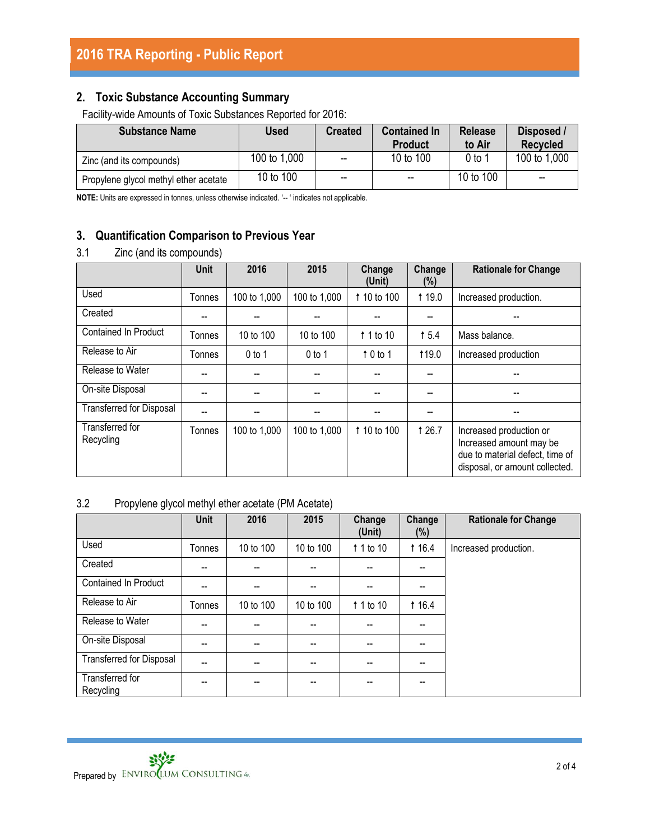## **2. Toxic Substance Accounting Summary**

Facility-wide Amounts of Toxic Substances Reported for 2016:

| <b>Substance Name</b>                 | Used         | <b>Created</b>           | <b>Contained In</b><br><b>Product</b> | <b>Release</b><br>to Air | Disposed /<br>Recycled   |
|---------------------------------------|--------------|--------------------------|---------------------------------------|--------------------------|--------------------------|
| Zinc (and its compounds)              | 100 to 1,000 | $\overline{\phantom{a}}$ | 10 to 100                             | $0$ to 1                 | 100 to 1,000             |
| Propylene glycol methyl ether acetate | 10 to 100    | $\overline{\phantom{a}}$ | $\overline{\phantom{a}}$              | 10 to 100                | $\overline{\phantom{a}}$ |

**NOTE:** Units are expressed in tonnes, unless otherwise indicated. '-- ' indicates not applicable.

# **3. Quantification Comparison to Previous Year**

## 3.1 Zinc (and its compounds)

|                                 | Unit   | 2016         | 2015         | Change<br>(Unit)   | Change<br>(%) | <b>Rationale for Change</b>                                                                                             |
|---------------------------------|--------|--------------|--------------|--------------------|---------------|-------------------------------------------------------------------------------------------------------------------------|
| Used                            | Tonnes | 100 to 1,000 | 100 to 1,000 | 1 10 to 100        | <b>119.0</b>  | Increased production.                                                                                                   |
| Created                         | --     |              |              |                    | --            |                                                                                                                         |
| <b>Contained In Product</b>     | Tonnes | 10 to 100    | 10 to 100    | $\uparrow$ 1 to 10 | 15.4          | Mass balance.                                                                                                           |
| Release to Air                  | Tonnes | $0$ to 1     | $0$ to 1     | $\uparrow$ 0 to 1  | 119.0         | Increased production                                                                                                    |
| Release to Water                | --     |              |              |                    | --            |                                                                                                                         |
| On-site Disposal                | --     |              |              |                    | --            |                                                                                                                         |
| <b>Transferred for Disposal</b> | --     |              |              |                    | --            |                                                                                                                         |
| Transferred for<br>Recycling    | Tonnes | 100 to 1,000 | 100 to 1,000 | 1 10 to 100        | <b>126.7</b>  | Increased production or<br>Increased amount may be<br>due to material defect, time of<br>disposal, or amount collected. |

## 3.2 Propylene glycol methyl ether acetate (PM Acetate)

|                                 | <b>Unit</b> | 2016      | 2015      | Change<br>(Unit) | Change<br>(%)            | <b>Rationale for Change</b> |
|---------------------------------|-------------|-----------|-----------|------------------|--------------------------|-----------------------------|
| Used                            | Tonnes      | 10 to 100 | 10 to 100 | 1 1 to 10        | <b>t</b> 16.4            | Increased production.       |
| Created                         | --          |           | --        | --               | --                       |                             |
| Contained In Product            | --          |           |           |                  |                          |                             |
| Release to Air                  | Tonnes      | 10 to 100 | 10 to 100 | 1 1 to 10        | 116.4                    |                             |
| Release to Water                | --          | $- -$     | --        | $- -$            | $\overline{\phantom{a}}$ |                             |
| On-site Disposal                | --          | --        | --        |                  | --                       |                             |
| <b>Transferred for Disposal</b> | --          | --        | --        |                  | --                       |                             |
| Transferred for<br>Recycling    | --          |           | --        | --               | --                       |                             |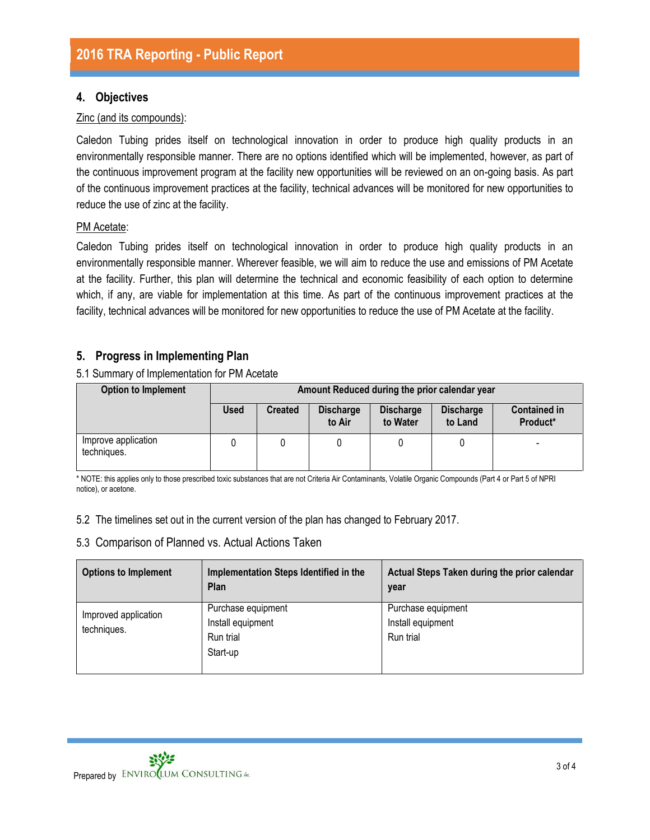## **4. Objectives**

#### Zinc (and its compounds):

Caledon Tubing prides itself on technological innovation in order to produce high quality products in an environmentally responsible manner. There are no options identified which will be implemented, however, as part of the continuous improvement program at the facility new opportunities will be reviewed on an on-going basis. As part of the continuous improvement practices at the facility, technical advances will be monitored for new opportunities to reduce the use of zinc at the facility.

#### PM Acetate:

Caledon Tubing prides itself on technological innovation in order to produce high quality products in an environmentally responsible manner. Wherever feasible, we will aim to reduce the use and emissions of PM Acetate at the facility. Further, this plan will determine the technical and economic feasibility of each option to determine which, if any, are viable for implementation at this time. As part of the continuous improvement practices at the facility, technical advances will be monitored for new opportunities to reduce the use of PM Acetate at the facility.

## **5. Progress in Implementing Plan**

5.1 Summary of Implementation for PM Acetate

| <b>Option to Implement</b>         | Amount Reduced during the prior calendar year |                |                            |                              |                             |                                 |
|------------------------------------|-----------------------------------------------|----------------|----------------------------|------------------------------|-----------------------------|---------------------------------|
|                                    | <b>Used</b>                                   | <b>Created</b> | <b>Discharge</b><br>to Air | <b>Discharge</b><br>to Water | <b>Discharge</b><br>to Land | <b>Contained in</b><br>Product* |
| Improve application<br>techniques. |                                               |                |                            |                              |                             | -                               |

\* NOTE: this applies only to those prescribed toxic substances that are not Criteria Air Contaminants, Volatile Organic Compounds (Part 4 or Part 5 of NPRI notice), or acetone.

5.2 The timelines set out in the current version of the plan has changed to February 2017.

#### 5.3 Comparison of Planned vs. Actual Actions Taken

| <b>Options to Implement</b>         | Implementation Steps Identified in the<br>Plan                   | Actual Steps Taken during the prior calendar<br>year |
|-------------------------------------|------------------------------------------------------------------|------------------------------------------------------|
| Improved application<br>techniques. | Purchase equipment<br>Install equipment<br>Run trial<br>Start-up | Purchase equipment<br>Install equipment<br>Run trial |